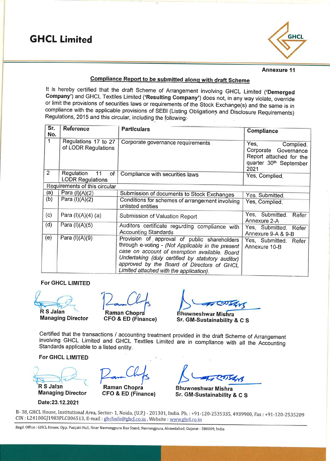

### **Annexure 11**

## Compliance Report to be submitted along with draft Scheme

It is hereby certified that the draft Scheme of Arrangement involving GHCL Limited ('Demerged Company') and GHCL Textiles Limited ('Resulting Company') does not, in any way violate, override or limit the provisions of securities laws or requirements of the Stock Exchange(s) and the same is in compliance with the applicable provisions of SEBI (Listing Obligations and Disclosure Requirements) Regulations, 2015 and this circular, including the following:

| Sr.<br>No.     | Reference                                         | <b>Particulars</b>                                                                                                                                                                                                                                                                               | <b>Compliance</b>                                                                                      |
|----------------|---------------------------------------------------|--------------------------------------------------------------------------------------------------------------------------------------------------------------------------------------------------------------------------------------------------------------------------------------------------|--------------------------------------------------------------------------------------------------------|
| 1              | Regulations 17 to 27<br>of LODR Regulations       | Corporate governance requirements                                                                                                                                                                                                                                                                | Yes,<br>Complied.<br>Corporate Governance<br>Report attached for the<br>quarter 30th September<br>2021 |
| $\overline{2}$ | Regulation<br>11<br>of<br><b>LODR Regulations</b> | Compliance with securities laws                                                                                                                                                                                                                                                                  | Yes, Complied.                                                                                         |
|                | Requirements of this circular                     |                                                                                                                                                                                                                                                                                                  |                                                                                                        |
| (a)            | Para $(I)(A)(2)$                                  | Submission of documents to Stock Exchanges                                                                                                                                                                                                                                                       | Yes, Submitted.                                                                                        |
| (b)            | Para $(I)(A)(2)$                                  | Conditions for schemes of arrangement involving<br>unlisted entities                                                                                                                                                                                                                             | Yes, Complied.                                                                                         |
| (c)            | Para (I)(A)(4) (a)                                | Submission of Valuation Report                                                                                                                                                                                                                                                                   | Yes, Submitted.<br>Refer<br>Annexure 2-A                                                               |
| (d)            | Para $(I)(A)(5)$                                  | Auditors certificate regarding compliance with<br><b>Accounting Standards</b>                                                                                                                                                                                                                    | Yes, Submitted.<br>Refer<br>Annexure 9-A & 9-B                                                         |
| (e)            | Para (I)(A)(9)                                    | Provision of approval of public shareholders<br>through e-voting - (Not Applicable in the present<br>case on account of exemption available. Board<br>Undertaking (duly certified by statutory auditor)<br>approved by the Board of Directors of GHCL<br>Limited attached with the application). | Yes, Submitted.<br>Refer<br>Annexure 10-B                                                              |

### **For GHCL LIMITED**

**R S Jalan** 

**Managing Director** 

Raman Chopra

**CFO & ED (Finance)** 

Bhuwneshwar Mishra Sr. GM-Sustainability & C S

Certified that the transactions / accounting treatment provided in the draft Scheme of Arrangement involving GHCL Limited and GHCL Textiles Limited are in compliance with all the Accounting Standards applicable to a listed entity.

For GHCL LIMITED

R S Jalan **Managing Director** 

Date:23.12.2021

**Raman Chopra** 

CFO & ED (Finance)

**Bhuwneshwar Mishra** Sr. GM-Sustainability & C S

B-38, GHCL House, Institutional Area, Sector-1, Noida, (U.P.) - 201301, India. Ph.: +91-120-2535335, 4939900, Fax: +91-120-2535209 CIN: L24100GJ1983PLC006513, E-mail: ghclinfo@ghcl.co.in, Website: www.ghcl.co.in

Regd. Office : GHCL House, Opp. Punjabi Hall, Near Navrangpura Bus Stand, Navrangpura, Ahmedabad, Gujarat - 380009, India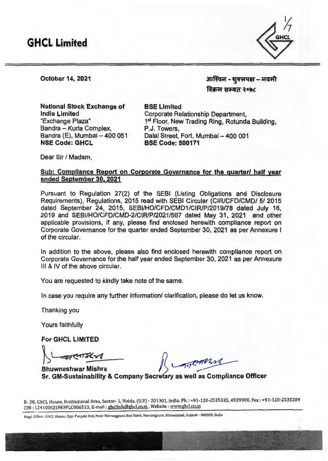

October 14, 2021

आश्विन - शुक्लपक्ष -- नवमी विक्रम सम्वत २०७८

National Stock Exchange of India Limited "Exchange Plaza" Sandra - Kurla Complex, Bandra (E), Mumbai - 400 051 NSE Code: GHCL

**BSE Limited** Corporate Relationship Department, 1<sup>st</sup> Floor, New Trading Ring, Rotunda Building, P.J. Towers, Dalal Street, Fort, Mumbai - 400 001 BSE Code: 500171

Dear Sir / Madam,

## Sub: Compliance Report on Corporate Governance for the quarter/ half year ended September 30, 2021

Pursuant to Regulation 27(2) of the SEBI (Listing Obligations and Disclosure Requirements), Regulations, 2015 read with SEBI Circular (CIR/CFD/CMD/ 5/ 2015 dated September 24, 2015, SEBI/HO/CFD/CMD1/CIR/P/2019/78 dated July 16, 2019 and SEBl/HO/CFD/CMD-2/CIR/P/2021/567 dated May 31, 2021 and other applicable provisions, if any, please find enclosed herewith compliance report on Corporate Governance for the quarter ended September 30, 2021 as per Annexure I of the circular.

In addition to the above, please also find enclosed herewith compliance report on Corporate Governance for the half year ended September 30, 2021 as per Annexure Ill & IV of the above circular.

You are requested to kindly take note of the same.

In case you require any further information/ clarification, please do let us know.

Thanking you

Yours faithfully

For GHCL LIMITED

 $h$ 

Sr. GM-Sustainability & Company Secretary as well as Compliance Officer Bhuwneshwar Mishra ~

B- 38, GHCL House, Institutional Area, Sector- 1, Naida, (U.P.) - 201301, India. Ph. : +91-120-2535335, 4939900, Fax : +91-120-2535209 CIN : L24100GJ1983PLC006513, E-mail : ghclinfo@ghcl.co.in , Website :www.ghcl.co.in

Regd. Office: GHCL House, Opp. Punjabi Hall, Near Navrangpura Bus Stand, Navrangpura, Ahmedabad, Gujarat - 380009, India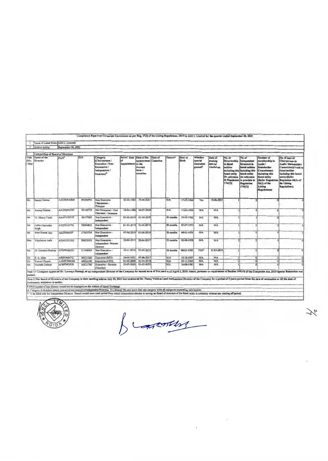|                      | Name of Listed Entity GHCL Limited |                    |          |                                                                                                                                                                                                                                                                                                                                                                                                                                                                           |                                          |                                                                        |         |            |                  |                                                      |                                             |                                                                                                                                               |                                                                                                                                      |                                                                                                                                                                                 |                                                                                                                                                                                                    |
|----------------------|------------------------------------|--------------------|----------|---------------------------------------------------------------------------------------------------------------------------------------------------------------------------------------------------------------------------------------------------------------------------------------------------------------------------------------------------------------------------------------------------------------------------------------------------------------------------|------------------------------------------|------------------------------------------------------------------------|---------|------------|------------------|------------------------------------------------------|---------------------------------------------|-----------------------------------------------------------------------------------------------------------------------------------------------|--------------------------------------------------------------------------------------------------------------------------------------|---------------------------------------------------------------------------------------------------------------------------------------------------------------------------------|----------------------------------------------------------------------------------------------------------------------------------------------------------------------------------------------------|
|                      | 2 Ouarter ending                   | September 30, 2021 |          |                                                                                                                                                                                                                                                                                                                                                                                                                                                                           |                                          |                                                                        |         |            |                  |                                                      |                                             |                                                                                                                                               |                                                                                                                                      |                                                                                                                                                                                 |                                                                                                                                                                                                    |
|                      |                                    |                    |          |                                                                                                                                                                                                                                                                                                                                                                                                                                                                           |                                          |                                                                        |         |            |                  |                                                      |                                             |                                                                                                                                               |                                                                                                                                      |                                                                                                                                                                                 |                                                                                                                                                                                                    |
|                      | Composition of Board of Directors  |                    |          |                                                                                                                                                                                                                                                                                                                                                                                                                                                                           |                                          |                                                                        |         |            |                  |                                                      |                                             |                                                                                                                                               |                                                                                                                                      |                                                                                                                                                                                 |                                                                                                                                                                                                    |
| Title<br>(Mr.<br>Msl | Name of the<br>Director            | PAN <sup>5</sup>   | DIN      | Category<br>(Chairperson/<br>Executive / Non-<br>Eexecutive /<br>Independent /<br>Nominee) <sup>4</sup>                                                                                                                                                                                                                                                                                                                                                                   | Initial Date<br>1o<br>Appointment in the | Date of Re-<br>appointment Cassation<br>current<br>term /<br>cessation | Date of | Tenure*    | Date of<br>Birth | <b>W</b> /hether<br>special<br>resolution<br>passed? | Date of<br>passing<br>special<br>resolution | No. of<br>Directorship<br>in listed<br>eatities<br>including this lincluding this<br>listed eatily<br>in reference<br>to Regulation<br>17A(1) | No. of<br>Independent<br>Directors in<br>listed entities<br>listed entity<br>in reference<br>to previsio to<br>Regulation<br>17A(1)] | Nunsber of<br>membership in<br>Audit /<br>Stakeholder<br>Committee(s)<br>including this<br>listed entity<br>(Refer Regulatio<br>26(1) of the<br>Listing<br><b>Regulations</b> ) | No. of post of<br>Chairperson in<br>Audit / Stekeholder<br>Committee(s) held in<br>listed entities<br>including this listed<br>entity (Refer<br>Regulation 26(1) of<br>the Listing<br>Regulations) |
| Mr.                  | Sanjay Dalmia                      | AADPD9438N         | 00206992 | Non Executive<br>Chairperson -<br>Promoter                                                                                                                                                                                                                                                                                                                                                                                                                                | 20-10-1983                               | $19 - 06 - 2021$                                                       |         | N/A        | $17-03-1944$     | Yes                                                  | 19-06-2021                                  |                                                                                                                                               |                                                                                                                                      |                                                                                                                                                                                 |                                                                                                                                                                                                    |
| Mr                   | Anurag Dalmia                      | AADPD9439P         | 00120710 | Non Executive - Vice<br>Chairman - Promoter                                                                                                                                                                                                                                                                                                                                                                                                                               | 19-04-1986                               | 06-07-2020                                                             |         | N/A        | 11-05-1956       | <b>N/A</b>                                           | <b>N/A</b>                                  |                                                                                                                                               |                                                                                                                                      |                                                                                                                                                                                 |                                                                                                                                                                                                    |
| Mr                   | Dr. Manoj Vaish                    | AAAPV5957F         | 00157082 | Non Executive -<br>Independent                                                                                                                                                                                                                                                                                                                                                                                                                                            | $01 - 04 - 2019$                         | 01-04-2019                                                             |         | 30 months  | 24-05-1961       | <b>N/A</b>                                           | <b>N/A</b>                                  |                                                                                                                                               |                                                                                                                                      |                                                                                                                                                                                 |                                                                                                                                                                                                    |
| Mr                   | Justice Ravindra<br>Smah           | ATZPS1677H         | 08344852 | Non Executive -<br>Independent                                                                                                                                                                                                                                                                                                                                                                                                                                            |                                          | $01-04-2019$ $01-04-2019$                                              |         | 30 months  | 02-07-1953       | NIA                                                  | <b>N/A</b>                                  |                                                                                                                                               |                                                                                                                                      |                                                                                                                                                                                 |                                                                                                                                                                                                    |
| Mr                   | Arun Kumar Jain                    | ABZPJ6664P         | 07563704 | Non Executive -<br>independent                                                                                                                                                                                                                                                                                                                                                                                                                                            |                                          | 01-04-2019 01-04-2019                                                  |         | 30 months  | 04-01-1956       | <b>N/A</b>                                           | <b>N/A</b>                                  |                                                                                                                                               |                                                                                                                                      |                                                                                                                                                                                 |                                                                                                                                                                                                    |
| Mrs.                 | Vijaylaxmi Joshi                   | ADAPJ2125O         | 00032055 | Non Executive -<br>Independent-Woman<br>Director                                                                                                                                                                                                                                                                                                                                                                                                                          | 20-04-2017                               | 20-04-2017                                                             |         | 53 months  | $01 - 08 - 1958$ | <b>N/A</b>                                           | <b>NiA</b>                                  |                                                                                                                                               |                                                                                                                                      |                                                                                                                                                                                 |                                                                                                                                                                                                    |
| Mr.                  | Dr Lavanya Rastogo                 | AFDPR4963H         | 01744049 | Non Executive -<br>Independent                                                                                                                                                                                                                                                                                                                                                                                                                                            | 24-11-2014                               | 01-04-2019                                                             |         | 30 months  | 08-03-1981       | YES*                                                 | 12-03-2019.                                 |                                                                                                                                               |                                                                                                                                      |                                                                                                                                                                                 |                                                                                                                                                                                                    |
| Mr                   | R. S. Jalan                        | ABBPJ6847Q         | 00121260 | Executive (MD)                                                                                                                                                                                                                                                                                                                                                                                                                                                            | 24-09-2002                               | 07-06-2017                                                             |         | N/A        | 10-10-1957       | <b>N/A</b>                                           | N/A                                         |                                                                                                                                               | $\Omega$                                                                                                                             |                                                                                                                                                                                 |                                                                                                                                                                                                    |
| Mr                   | Raman Chopra                       | AADPC9604M         | 00954190 | Executive (CFO)                                                                                                                                                                                                                                                                                                                                                                                                                                                           | 01-04-2008                               | 01-04-2018                                                             |         | <b>N/A</b> | $25 - 11 - 1965$ | N/A                                                  | <b>N/A</b>                                  |                                                                                                                                               | $\mathbf{0}$                                                                                                                         |                                                                                                                                                                                 |                                                                                                                                                                                                    |
| Mr                   | Neelabh Dalmia                     | AFBPD8202R         | 00121760 | Executive - Director<br>(Textiles)                                                                                                                                                                                                                                                                                                                                                                                                                                        | 20-07-2005                               | 01-02-2020                                                             |         | N/A        | 16-08-1983       | <b>N/A</b>                                           | N/A                                         |                                                                                                                                               |                                                                                                                                      |                                                                                                                                                                                 |                                                                                                                                                                                                    |
| passed.              | retirement, whichever is earlier.  |                    |          | Note 1: <sup>4</sup> Company appointed Dr. Lavanya Rastogi, as an Independent Director of the Company for second term of five years w.e.f April 1, 2019. Hence, pursuant to requirement of Section 149(10) of the Companics Act, 2013 Sp<br>Note 2: The Board of Directors of the Company is their meeting held on July 29, 2021 had nominated Dr. Manoj Vaish as Lead Independent Director of the Company for a period of 3 years period from the date of notaination or |                                          |                                                                        |         |            |                  |                                                      |                                             |                                                                                                                                               |                                                                                                                                      |                                                                                                                                                                                 |                                                                                                                                                                                                    |
|                      |                                    |                    |          |                                                                                                                                                                                                                                                                                                                                                                                                                                                                           |                                          |                                                                        |         |            |                  |                                                      |                                             |                                                                                                                                               |                                                                                                                                      |                                                                                                                                                                                 |                                                                                                                                                                                                    |
|                      |                                    |                    |          | <sup>5</sup> PAN number of any director would not be displayed on the website of Stock Exchange.<br>& Category of directors means executive/non-executive/independent/Nominee. If a director fits into more than one category write all categories separating with hyphen.                                                                                                                                                                                                |                                          |                                                                        |         |            |                  |                                                      |                                             |                                                                                                                                               |                                                                                                                                      |                                                                                                                                                                                 |                                                                                                                                                                                                    |



burneys

ブ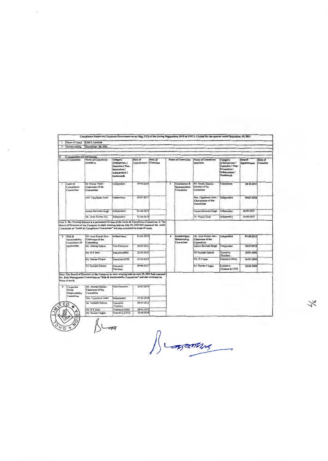| -1                      | Name of Listed                            | <b>GHCL</b> Limited                                                                                                                                                                                                                                                                                        |                                                                                                     |                          |                      |                          |                                                  |                                                           |                                                                                              |                          |                      |
|-------------------------|-------------------------------------------|------------------------------------------------------------------------------------------------------------------------------------------------------------------------------------------------------------------------------------------------------------------------------------------------------------|-----------------------------------------------------------------------------------------------------|--------------------------|----------------------|--------------------------|--------------------------------------------------|-----------------------------------------------------------|----------------------------------------------------------------------------------------------|--------------------------|----------------------|
| $\overline{2}$          | Quarter ending                            | September 30, 2021                                                                                                                                                                                                                                                                                         |                                                                                                     |                          |                      |                          |                                                  |                                                           |                                                                                              |                          |                      |
|                         |                                           |                                                                                                                                                                                                                                                                                                            |                                                                                                     |                          |                      |                          |                                                  |                                                           |                                                                                              |                          |                      |
| $\mathbf{H}$            | Composition of Committees                 |                                                                                                                                                                                                                                                                                                            |                                                                                                     |                          |                      |                          |                                                  |                                                           |                                                                                              |                          |                      |
|                         | Name of Committee                         | <b>Name of Committee</b><br>members                                                                                                                                                                                                                                                                        | Category<br>(Chairperson /<br><b>Executive / Non-</b><br>Eexecutive /<br>Independent /<br>Nominee)& | Date of<br>Appointment   | Date of<br>Cessation |                          | <b>Name of Committee</b>                         | Nause of Committee<br>members                             | Category<br>(Chairperson /<br>Executive / Non-<br>Eexecutive /<br>Independent /<br>Nominee)S | Date of<br>Appointment   | Date of<br>Cessation |
| 1                       | Audit &<br>Compliance<br>Committee        | Dr. Manuj Vaish -<br>Chairman of the<br>Committee                                                                                                                                                                                                                                                          | Independent                                                                                         | 18-09-2019               |                      | $\overline{2}$           | Nomination &<br><b>Remuneration</b><br>Committee | Mr. Sanjay Dalmia -<br>Member of the<br>Committee         | Chairperson                                                                                  | 18-10-2014               |                      |
|                         |                                           | Mrs. Vijaylaxmi Joshi                                                                                                                                                                                                                                                                                      | Independent                                                                                         | 29-07-2017               |                      |                          |                                                  | Mrs. Vijaylaxını Joshi<br>Chairperson of the<br>Committee | Independent                                                                                  | 18-07-2018               |                      |
|                         |                                           | Justice Ravindra Singh                                                                                                                                                                                                                                                                                     | Independent                                                                                         | 01-04-2019               |                      |                          |                                                  | Justice Ravindra Singh                                    | Independent                                                                                  | 18-09-2019               |                      |
|                         |                                           |                                                                                                                                                                                                                                                                                                            |                                                                                                     |                          |                      |                          |                                                  |                                                           |                                                                                              |                          |                      |
|                         |                                           | Mr. Arun Kumar Jain<br>Nute 3: Mr. Neelabh Dalmin is a permanent invitee of the Audit & Compliance Committee. 2. The<br>Board of Directors of the Company in their meeting held on July 29, 2021 had renamed the Audit<br>Committee as "Audit & Compliance Committee" and also extended its scope of work. | Independent                                                                                         | 01-04-2019               |                      |                          |                                                  | Dr. Manoj Varsh<br>Mr. Arun Kumar Jaiu -                  | Independent                                                                                  | 18-09-2019<br>01-04-2019 |                      |
| $\overline{\mathbf{3}}$ | Risk &<br>Sustainability<br>Committee (if | Mr. Arun Kumar Jain -<br>Chairman of the<br>Committee                                                                                                                                                                                                                                                      | Independent                                                                                         | 01-04-2019               |                      | $\overline{\phantom{a}}$ | Stakeholders<br>Relationship<br>Committee        | Chairman of the<br>Committee                              | Independent                                                                                  |                          |                      |
|                         | applicable)                               | Mr. Anunag Dalmia                                                                                                                                                                                                                                                                                          | Non-Exeutive                                                                                        | 29-07-2021               |                      |                          |                                                  | Justice Ravindra Singh                                    | Independent                                                                                  | 30-07-2019               |                      |
|                         |                                           | Mr. R S Jalan                                                                                                                                                                                                                                                                                              | <b>Executive (MD)</b>                                                                               | 22-05-2015               |                      |                          |                                                  | Mr. Neelabh Dalmia                                        | Executive<br>(Textiles)                                                                      | 20-07-2005               |                      |
|                         |                                           | Mr. Raman Chopra                                                                                                                                                                                                                                                                                           | Executive (CFO)                                                                                     | 22-05-2015               |                      |                          |                                                  | Mr. R S Jalan                                             | Executive (MD)                                                                               | 31-07-2004               |                      |
|                         |                                           | Mr.Neclubh Dalmin                                                                                                                                                                                                                                                                                          | Executive<br>(Textiles)                                                                             | 29-06-2017               |                      |                          |                                                  | Mr. Raman Chopra                                          | Executive<br>(Finance & CFO)                                                                 | 10-06-2008               |                      |
| $\overline{\mathbf{5}}$ | scope of work.<br>Curporate               | Note: The Board of Directors of the Company in their a neeting held on July 29, 2021 had renamed<br>the Risk Management Committee as "Risk & Sustainability Committee" and also extended its<br>Mr. Anumg Dalmia -                                                                                         | Non-Executive                                                                                       | 30-07-2019               |                      |                          |                                                  |                                                           |                                                                                              |                          |                      |
|                         | Social<br>Responsibility                  | Chairman of the<br>Committee                                                                                                                                                                                                                                                                               |                                                                                                     |                          |                      |                          |                                                  |                                                           |                                                                                              |                          |                      |
|                         | Committee                                 | Mrs. Vijaylaxmi Joshi                                                                                                                                                                                                                                                                                      | Independent                                                                                         | 25-04-2018               |                      |                          |                                                  |                                                           |                                                                                              |                          |                      |
|                         | EID                                       | Mr. Neelabh Dalmın                                                                                                                                                                                                                                                                                         | Executive<br>(Textiles)                                                                             | 28-01-2013               |                      |                          |                                                  |                                                           |                                                                                              |                          |                      |
| HC                      |                                           | Mr. R S Jalan<br>Mr. Ramon Chopra                                                                                                                                                                                                                                                                          | Executive (MD)<br>Executive (CFO)                                                                   | 28-01-2013<br>25-04-2018 |                      |                          |                                                  |                                                           |                                                                                              |                          |                      |

Jumenes

人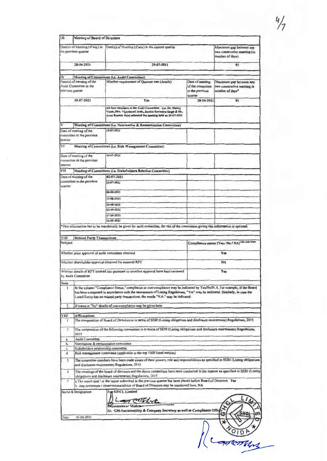$\ddot{\phantom{0}}$ 

|                      | Date(s) of Meeting (if any) in                      | Date(s) of Meeting (if any) in the current quarter                                                                                                                                                                                                                                                                                              |                                                | Maximum gap between any                                       |  |  |  |
|----------------------|-----------------------------------------------------|-------------------------------------------------------------------------------------------------------------------------------------------------------------------------------------------------------------------------------------------------------------------------------------------------------------------------------------------------|------------------------------------------------|---------------------------------------------------------------|--|--|--|
|                      | the previous quarter                                |                                                                                                                                                                                                                                                                                                                                                 |                                                | two consecutive meeting (in<br>number of days)                |  |  |  |
|                      | 28-04-2021                                          | 29-07-2021                                                                                                                                                                                                                                                                                                                                      |                                                | 91                                                            |  |  |  |
|                      |                                                     |                                                                                                                                                                                                                                                                                                                                                 |                                                |                                                               |  |  |  |
| IV                   | Date(s) of meeting of the                           | Meeting of Committees (i.e. Audit Committee)<br>Whether requirement of Quorum met (details)                                                                                                                                                                                                                                                     | Date of meeting                                | Maximum gap between any                                       |  |  |  |
| relevant quarter     | Audit Committee in the                              |                                                                                                                                                                                                                                                                                                                                                 | of the committee<br>in the previous<br>quarter | two consecutive meeting in<br>number of days*                 |  |  |  |
|                      | 29-07-2021                                          | Yes                                                                                                                                                                                                                                                                                                                                             | 28-04-2021                                     | 91                                                            |  |  |  |
|                      |                                                     | All four members of the Audit Committee (i.e. Dr. Manoj<br>Vaish, Mrs. Vijaylaxmi Joshi, Justice Ravindra Singh & Mr.<br>Arun Kumar Jain) attended the meeting held on 29-07-2021                                                                                                                                                               |                                                |                                                               |  |  |  |
|                      |                                                     | Meeting of Committees (i.e. Nomination & Remuneration Committee)                                                                                                                                                                                                                                                                                |                                                |                                                               |  |  |  |
|                      | Date of meeting of the                              | 15-07-2021                                                                                                                                                                                                                                                                                                                                      |                                                |                                                               |  |  |  |
|                      | committee in the previous                           |                                                                                                                                                                                                                                                                                                                                                 |                                                |                                                               |  |  |  |
| quarter              |                                                     |                                                                                                                                                                                                                                                                                                                                                 |                                                |                                                               |  |  |  |
| VI.                  |                                                     | Meeting of Committees (i.e. Risk Management Committee)                                                                                                                                                                                                                                                                                          |                                                |                                                               |  |  |  |
|                      | Date of meeting of the                              | 14-07-2021                                                                                                                                                                                                                                                                                                                                      |                                                |                                                               |  |  |  |
|                      | committee in the previous                           |                                                                                                                                                                                                                                                                                                                                                 |                                                |                                                               |  |  |  |
| quarter              |                                                     |                                                                                                                                                                                                                                                                                                                                                 |                                                |                                                               |  |  |  |
| VII                  |                                                     | Meeting of Committees (i.e. Stakeholders Relation Committee)                                                                                                                                                                                                                                                                                    |                                                |                                                               |  |  |  |
|                      | Date of meeting of the<br>committee in the previous | 02-07-2021<br>23-07-2021                                                                                                                                                                                                                                                                                                                        |                                                |                                                               |  |  |  |
| quarter              |                                                     |                                                                                                                                                                                                                                                                                                                                                 |                                                |                                                               |  |  |  |
|                      |                                                     | 06-08-2021                                                                                                                                                                                                                                                                                                                                      |                                                |                                                               |  |  |  |
|                      |                                                     | 13-08-2021                                                                                                                                                                                                                                                                                                                                      |                                                |                                                               |  |  |  |
|                      |                                                     | 20-08-2021                                                                                                                                                                                                                                                                                                                                      |                                                |                                                               |  |  |  |
|                      |                                                     | 03-09-2021                                                                                                                                                                                                                                                                                                                                      |                                                |                                                               |  |  |  |
|                      |                                                     | 17-09-2021                                                                                                                                                                                                                                                                                                                                      |                                                |                                                               |  |  |  |
|                      |                                                     | 24-09-2021                                                                                                                                                                                                                                                                                                                                      |                                                |                                                               |  |  |  |
|                      |                                                     |                                                                                                                                                                                                                                                                                                                                                 |                                                | Compliance status (Yes / No / NA) <sup>refer note below</sup> |  |  |  |
|                      |                                                     | Whether prior approval of audit committee obtained                                                                                                                                                                                                                                                                                              |                                                | Yes                                                           |  |  |  |
|                      |                                                     | Whether shareholder approval obtained for material RPT                                                                                                                                                                                                                                                                                          |                                                | <b>NA</b>                                                     |  |  |  |
|                      |                                                     | Whether details of RPT entered into pursuant to omnibus approval have been reviewed                                                                                                                                                                                                                                                             |                                                | Yes                                                           |  |  |  |
|                      | by Audit Committee                                  |                                                                                                                                                                                                                                                                                                                                                 |                                                |                                                               |  |  |  |
|                      |                                                     |                                                                                                                                                                                                                                                                                                                                                 |                                                |                                                               |  |  |  |
| <b>Note</b>          |                                                     |                                                                                                                                                                                                                                                                                                                                                 |                                                |                                                               |  |  |  |
| $\mathbf{1}$         |                                                     | In the column "Compliance Status." compliance or non-compliance may be indicated by Yes/No/N.A. For example, if the Board<br>has been composed in accordance with the reuirements of Listing Regulations, "Yes" may be indicated. Similarly, in case the<br>Listed Entity has no related party transactions, the words "N.A." may be indicated. |                                                |                                                               |  |  |  |
| $\overline{2}$       |                                                     | If status is "No" details of non-compliance may be given here.                                                                                                                                                                                                                                                                                  |                                                |                                                               |  |  |  |
|                      |                                                     |                                                                                                                                                                                                                                                                                                                                                 |                                                |                                                               |  |  |  |
| VIII<br>$\mathbf{1}$ | <b>Affirmations</b>                                 | The composition of Board of Directors is in terms of SEBI (Listing obligations and disclosure reuirements) Regulations, 2015.                                                                                                                                                                                                                   |                                                |                                                               |  |  |  |
| $\overline{c}$       | 2015                                                | The composition of the following committees is in terms of SEBI (Listing obligations and disclosure reurrements) Regulations,                                                                                                                                                                                                                   |                                                |                                                               |  |  |  |
| a.                   | Audit Committee                                     |                                                                                                                                                                                                                                                                                                                                                 |                                                |                                                               |  |  |  |
| b.                   | Nomination & remuneration committee                 |                                                                                                                                                                                                                                                                                                                                                 |                                                |                                                               |  |  |  |
| с<br>d.              | Stakeholders relationship committee                 | Risk management committee (applicable to the top 1000 listed entities)                                                                                                                                                                                                                                                                          |                                                |                                                               |  |  |  |
| 3                    |                                                     | The committee members have been made aware of their powers, role and responsibilities as specified in SEBI (Listing obligations<br>and disclosure reuirements) Regulations, 2015.                                                                                                                                                               |                                                |                                                               |  |  |  |
| 4                    |                                                     | The meetings of the board of directors and the above committees have been conducted in the manner as specified in SEBI (Listing                                                                                                                                                                                                                 |                                                |                                                               |  |  |  |
|                      |                                                     | obligations and disclosure reulrements) Regulations, 2015                                                                                                                                                                                                                                                                                       |                                                |                                                               |  |  |  |
| 5                    |                                                     | a. The report and / or the report submitted in the previous quarter has been placed before Board of Directors. Yes<br>b Any comments / observations/advice of Board of Directors may be mentioned here: NA                                                                                                                                      |                                                |                                                               |  |  |  |
|                      | Name & Designation                                  | For GHCL Limited<br>costing<br>Bhuwneshwar Mishr                                                                                                                                                                                                                                                                                                |                                                |                                                               |  |  |  |
|                      |                                                     | Sr. GM-Sustainability & Company Secretary as well as Compliance Offic                                                                                                                                                                                                                                                                           |                                                |                                                               |  |  |  |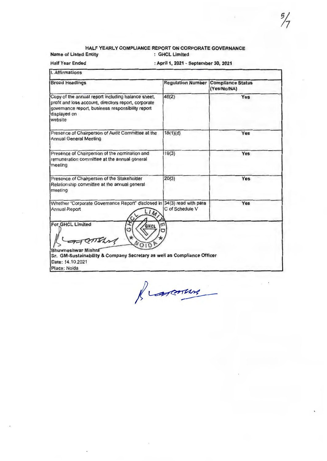#### HALF YEARLY COMPLIANCE REPORT ON CORPORATE GOVERNANCE Name of Listed Entity : GHCl Limited

Half Year Ended

: April 1, 2021 - September 30, 2021

I. Affirmations

| <b>Broad Headings</b>                                                                                                                                                                      |                 | <b>Regulation Number Compliance Status</b><br>(Yes/No/NA) |
|--------------------------------------------------------------------------------------------------------------------------------------------------------------------------------------------|-----------------|-----------------------------------------------------------|
| Copy of the annual report including balance sheet,<br>profit and loss account, directors report, corporate<br>governance report, business responsibility report<br>displayed on<br>website | 46(2)           | Yes                                                       |
| Presence of Chairperson of Audit Committee at the<br><b>Annual General Meeting</b>                                                                                                         | 18(1)(d)        | Yes                                                       |
| Presence of Chairperson of the nomination and<br>remuneration committee at the annual general<br>Imeeting                                                                                  | 19(3)           | Yes                                                       |
| Presence of Chairperson of the Stakeholder<br>Relationship committee at the annual general<br>meeting                                                                                      | 20(3)           | Yes                                                       |
| Whether "Corporate Governance Report" disclosed in 34(3) read with para<br>Annual Report                                                                                                   | C of Schedule V | Yes                                                       |
| For GHCL Limited<br>GHCL<br>MELLE<br>Bhuwneshwar Mishra<br>Sr. GM-Sustainability & Company Secretary as well as Compliance Officer<br>Date: 14, 10, 2021                                   | т               |                                                           |

Place: Noida

francours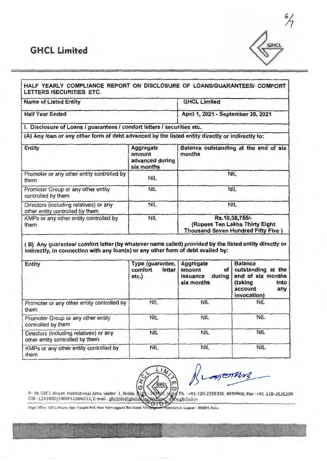# **GHCL Limited**



| <b>Name of Listed Entity</b>                                                                                                                                                                               |                                                                                                      | <b>GHCL Limited</b>                             |                                                                       |  |
|------------------------------------------------------------------------------------------------------------------------------------------------------------------------------------------------------------|------------------------------------------------------------------------------------------------------|-------------------------------------------------|-----------------------------------------------------------------------|--|
| <b>Half Year Ended</b>                                                                                                                                                                                     |                                                                                                      | April 1, 2021 - September 30, 2021              |                                                                       |  |
| I. Disclosure of Loans / guarantees / comfort letters / securities etc.                                                                                                                                    |                                                                                                      |                                                 |                                                                       |  |
| (A) Any loan or any other form of debt advanced by the listed entity directly or indirectly to:                                                                                                            |                                                                                                      |                                                 |                                                                       |  |
| <b>Entity</b>                                                                                                                                                                                              | Aggregate<br>amount<br>advanced during<br>six months                                                 | Balance outstanding at the end of six<br>months |                                                                       |  |
| Promoter or any other entity controlled by<br>them                                                                                                                                                         | <b>NIL</b>                                                                                           | <b>NIL</b>                                      |                                                                       |  |
| Promoter Group or any other entity<br>controlled by them                                                                                                                                                   | <b>NIL</b>                                                                                           | <b>NIL</b>                                      |                                                                       |  |
| Directors (including relatives) or any<br>other entity controlled by them                                                                                                                                  | <b>NIL</b>                                                                                           |                                                 | <b>NIL</b>                                                            |  |
| KMPs or any other entity controlled by<br>them                                                                                                                                                             | Rs.10,38,755/-<br><b>NIL</b><br>(Rupees Ten Lakhs Thirty Eight<br>Thousand Seven Hundred Fifty Five) |                                                 |                                                                       |  |
| (B) Any guarantee/ comfort letter (by whatever name called) provided by the listed entity directly or<br>indirectly, in connection with any loan(s) or any other form of debt availed by:<br><b>Entity</b> | Type (guarantee,<br>comfort<br>letter<br>etc.)                                                       | Aggregate<br>οf<br>amount<br>during<br>issuance | <b>Balance</b><br>outstanding at the                                  |  |
|                                                                                                                                                                                                            |                                                                                                      | six months                                      | end of six months<br>(taking<br>into<br>account<br>any<br>invocation) |  |
| Promoter or any other entity controlled by<br>them                                                                                                                                                         | <b>NIL</b>                                                                                           | <b>NIL</b>                                      | <b>NIL</b>                                                            |  |
| Promoter Group or any other entity<br>controlled by them                                                                                                                                                   | <b>NIL</b>                                                                                           | <b>NIL</b>                                      | <b>NIL</b>                                                            |  |
| Directors (including relatives) or any<br>other entity controlled by them                                                                                                                                  | <b>NIL</b>                                                                                           | <b>NIL</b>                                      | <b>NIL</b>                                                            |  |



Kragenting

**B**-38, GHCL House, Institutional Area, Sector-1, Noida, 11PL-201304<br>CIN : L24100GJ1983PLC006513, E-mail . ghclipfu@ghcLengtwebsite Ph. : +91-120-2535335, 4939900, Fax : +91-120-2535209 611 ww.etul.co.in Ы

Regd. Office GHCL House, Opp. Punjahi Hall, Near Navitalguara Box Stand, Navitanguara, Ahmedahad Gujarat - 380009, India

-------------·----